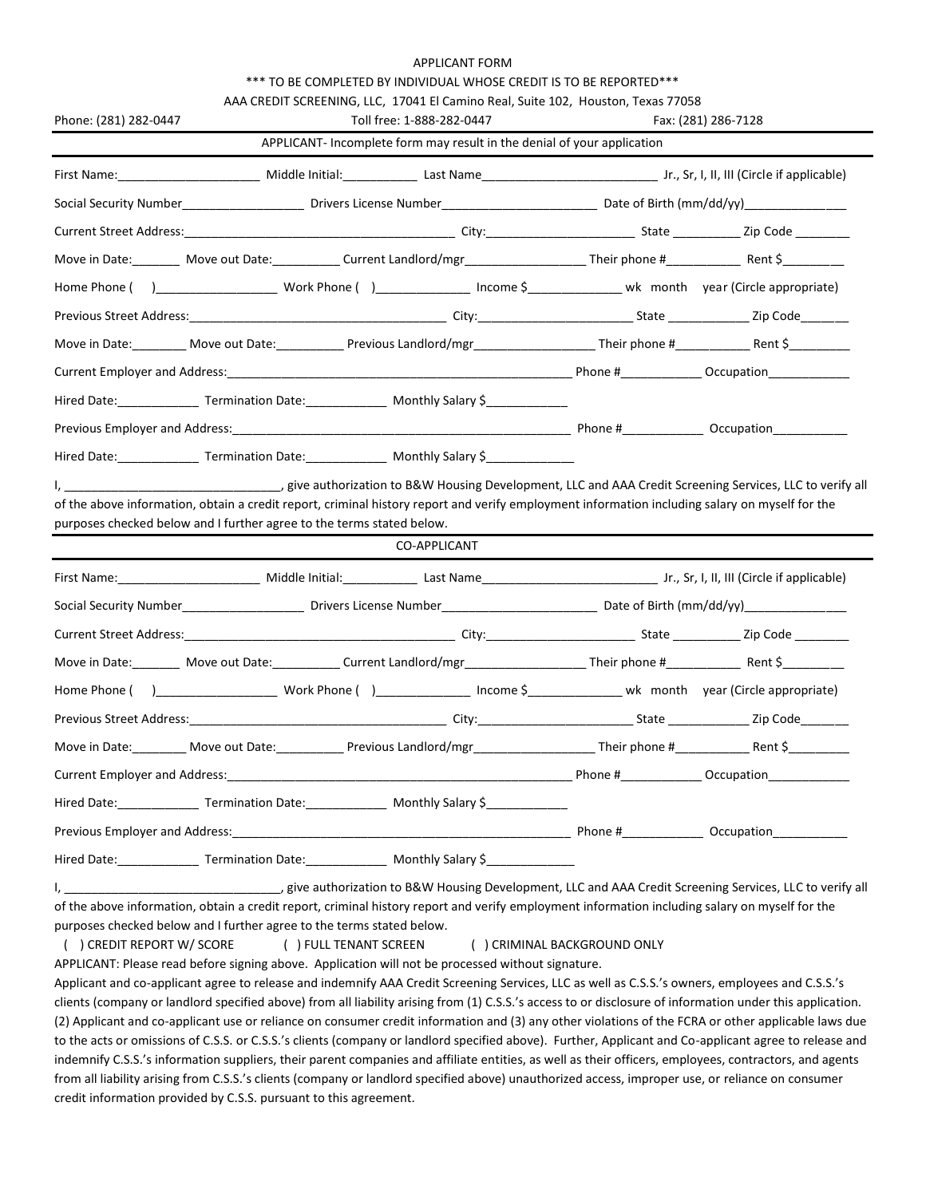## APPLICANT FORM

## \*\*\* TO BE COMPLETED BY INDIVIDUAL WHOSE CREDIT IS TO BE REPORTED\*\*\*

|                                                                                                                                                                                                                                                                                                                                                                                                                                                                                                                                                                                                                                    |  | AAA CREDIT SCREENING, LLC, 17041 El Camino Real, Suite 102, Houston, Texas 77058 |  |                     |
|------------------------------------------------------------------------------------------------------------------------------------------------------------------------------------------------------------------------------------------------------------------------------------------------------------------------------------------------------------------------------------------------------------------------------------------------------------------------------------------------------------------------------------------------------------------------------------------------------------------------------------|--|----------------------------------------------------------------------------------|--|---------------------|
| Phone: (281) 282-0447                                                                                                                                                                                                                                                                                                                                                                                                                                                                                                                                                                                                              |  | Toll free: 1-888-282-0447                                                        |  | Fax: (281) 286-7128 |
|                                                                                                                                                                                                                                                                                                                                                                                                                                                                                                                                                                                                                                    |  | APPLICANT- Incomplete form may result in the denial of your application          |  |                     |
|                                                                                                                                                                                                                                                                                                                                                                                                                                                                                                                                                                                                                                    |  |                                                                                  |  |                     |
|                                                                                                                                                                                                                                                                                                                                                                                                                                                                                                                                                                                                                                    |  |                                                                                  |  |                     |
|                                                                                                                                                                                                                                                                                                                                                                                                                                                                                                                                                                                                                                    |  |                                                                                  |  |                     |
|                                                                                                                                                                                                                                                                                                                                                                                                                                                                                                                                                                                                                                    |  |                                                                                  |  |                     |
|                                                                                                                                                                                                                                                                                                                                                                                                                                                                                                                                                                                                                                    |  |                                                                                  |  |                     |
|                                                                                                                                                                                                                                                                                                                                                                                                                                                                                                                                                                                                                                    |  |                                                                                  |  |                     |
| Move in Date:_________ Move out Date:_____________Previous Landlord/mgr____________________Their phone #_____________________Rent \$____________                                                                                                                                                                                                                                                                                                                                                                                                                                                                                   |  |                                                                                  |  |                     |
|                                                                                                                                                                                                                                                                                                                                                                                                                                                                                                                                                                                                                                    |  |                                                                                  |  |                     |
| Hired Date: _________________ Termination Date: _______________ Monthly Salary \$_______________                                                                                                                                                                                                                                                                                                                                                                                                                                                                                                                                   |  |                                                                                  |  |                     |
|                                                                                                                                                                                                                                                                                                                                                                                                                                                                                                                                                                                                                                    |  |                                                                                  |  |                     |
|                                                                                                                                                                                                                                                                                                                                                                                                                                                                                                                                                                                                                                    |  |                                                                                  |  |                     |
|                                                                                                                                                                                                                                                                                                                                                                                                                                                                                                                                                                                                                                    |  |                                                                                  |  |                     |
|                                                                                                                                                                                                                                                                                                                                                                                                                                                                                                                                                                                                                                    |  |                                                                                  |  |                     |
|                                                                                                                                                                                                                                                                                                                                                                                                                                                                                                                                                                                                                                    |  | CO-APPLICANT                                                                     |  |                     |
|                                                                                                                                                                                                                                                                                                                                                                                                                                                                                                                                                                                                                                    |  |                                                                                  |  |                     |
|                                                                                                                                                                                                                                                                                                                                                                                                                                                                                                                                                                                                                                    |  |                                                                                  |  |                     |
|                                                                                                                                                                                                                                                                                                                                                                                                                                                                                                                                                                                                                                    |  |                                                                                  |  |                     |
|                                                                                                                                                                                                                                                                                                                                                                                                                                                                                                                                                                                                                                    |  |                                                                                  |  |                     |
|                                                                                                                                                                                                                                                                                                                                                                                                                                                                                                                                                                                                                                    |  |                                                                                  |  |                     |
|                                                                                                                                                                                                                                                                                                                                                                                                                                                                                                                                                                                                                                    |  |                                                                                  |  |                     |
|                                                                                                                                                                                                                                                                                                                                                                                                                                                                                                                                                                                                                                    |  |                                                                                  |  |                     |
|                                                                                                                                                                                                                                                                                                                                                                                                                                                                                                                                                                                                                                    |  |                                                                                  |  |                     |
| Hired Date: _________________ Termination Date: _______________ Monthly Salary \$___________________<br>of the above information, obtain a credit report, criminal history report and verify employment information including salary on myself for the<br>purposes checked below and I further agree to the terms stated below.<br>Move in Date:_________ Move out Date:_____________ Previous Landlord/mgr____________________________ Their phone #____________________ Rent \$____________<br>Current Employer and Address:<br>Hired Date: _________________ Termination Date: _______________ Monthly Salary \$_______________ |  |                                                                                  |  |                     |

I, \_\_\_\_\_\_\_\_\_\_\_\_\_\_\_\_\_\_\_\_\_\_\_\_\_\_\_\_\_\_\_\_, give authorization to B&W Housing Development, LLC and AAA Credit Screening Services, LLC to verify all of the above information, obtain a credit report, criminal history report and verify employment information including salary on myself for the purposes checked below and I further agree to the terms stated below.

( ) CREDIT REPORT W/ SCORE ( ) FULL TENANT SCREEN ( ) CRIMINAL BACKGROUND ONLY

APPLICANT: Please read before signing above. Application will not be processed without signature.

Applicant and co-applicant agree to release and indemnify AAA Credit Screening Services, LLC as well as C.S.S.'s owners, employees and C.S.S.'s clients (company or landlord specified above) from all liability arising from (1) C.S.S.'s access to or disclosure of information under this application. (2) Applicant and co-applicant use or reliance on consumer credit information and (3) any other violations of the FCRA or other applicable laws due to the acts or omissions of C.S.S. or C.S.S.'s clients (company or landlord specified above). Further, Applicant and Co-applicant agree to release and indemnify C.S.S.'s information suppliers, their parent companies and affiliate entities, as well as their officers, employees, contractors, and agents from all liability arising from C.S.S.'s clients (company or landlord specified above) unauthorized access, improper use, or reliance on consumer credit information provided by C.S.S. pursuant to this agreement.